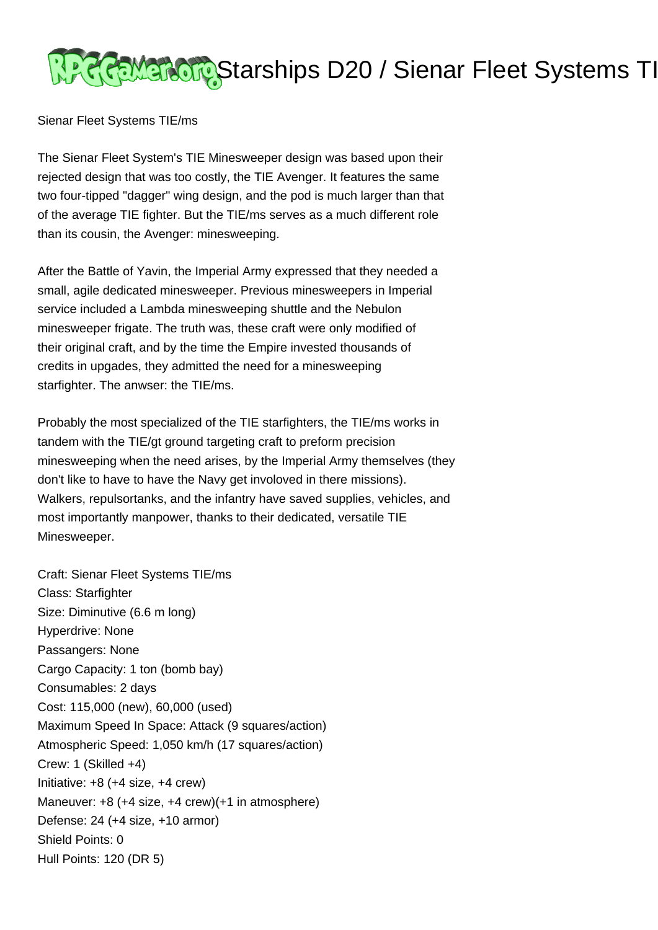

Sienar Fleet Systems TIE/ms

The Sienar Fleet System's TIE Minesweeper design was based upon their rejected design that was too costly, the TIE Avenger. It features the same two four-tipped "dagger" wing design, and the pod is much larger than that of the average TIE fighter. But the TIE/ms serves as a much different role than its cousin, the Avenger: minesweeping.

After the Battle of Yavin, the Imperial Army expressed that they needed a small, agile dedicated minesweeper. Previous minesweepers in Imperial service included a Lambda minesweeping shuttle and the Nebulon minesweeper frigate. The truth was, these craft were only modified of their original craft, and by the time the Empire invested thousands of credits in upgades, they admitted the need for a minesweeping starfighter. The anwser: the TIE/ms.

Probably the most specialized of the TIE starfighters, the TIE/ms works in tandem with the TIE/gt ground targeting craft to preform precision minesweeping when the need arises, by the Imperial Army themselves (they don't like to have to have the Navy get involoved in there missions). Walkers, repulsortanks, and the infantry have saved supplies, vehicles, and most importantly manpower, thanks to their dedicated, versatile TIE Minesweeper.

Craft: Sienar Fleet Systems TIE/ms Class: Starfighter Size: Diminutive (6.6 m long) Hyperdrive: None Passangers: None Cargo Capacity: 1 ton (bomb bay) Consumables: 2 days Cost: 115,000 (new), 60,000 (used) Maximum Speed In Space: Attack (9 squares/action) Atmospheric Speed: 1,050 km/h (17 squares/action) Crew: 1 (Skilled +4) Initiative: +8 (+4 size, +4 crew) Maneuver: +8 (+4 size, +4 crew)(+1 in atmosphere) Defense: 24 (+4 size, +10 armor) Shield Points: 0 Hull Points: 120 (DR 5)